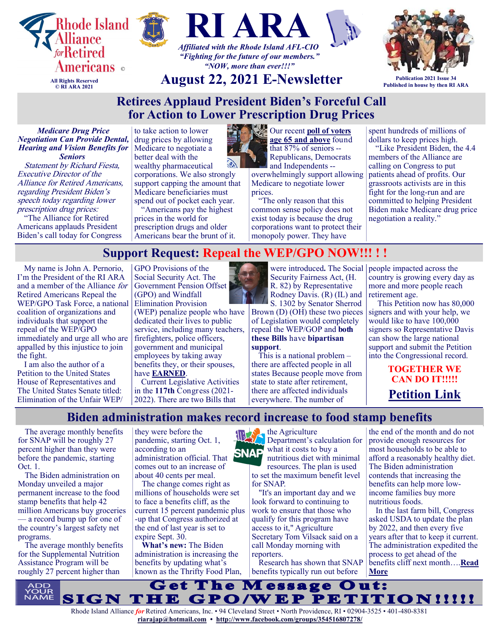



*Affiliated with the Rhode Island AFL-CIO "Fighting for the future of our members." "NOW, more than ever!!!"*

**RI ARA**

August 22, 2021 E-Newsletter



**Published in house by then RI ARA**

### **Retirees Applaud President Biden's Forceful Call for Action to Lower Prescription Drug Prices**

*Medicare Drug Price Negotiation Can Provide Dental, Hearing and Vision Benefits for Seniors*

**© RI ARA 2021**

Statement by Richard Fiesta, Executive Director of the Alliance for Retired Americans, regarding President Biden's speech today regarding lower prescription drug prices:

"The Alliance for Retired Americans applauds President Biden's call today for Congress

to take action to lower drug prices by allowing Medicare to negotiate a better deal with the wealthy pharmaceutical

corporations. We also strongly support capping the amount that Medicare beneficiaries must spend out of pocket each year. "Americans pay the highest

prices in the world for prescription drugs and older Americans bear the brunt of it.

Our recent **[poll of voters](http://link.mediaoutreach.meltwater.com/ls/click?upn=qxxqyjyNsp8YmpkvvroysibPVTIRIhMpYsOMc2AT-2BzF3-2F69gJp7GKMuEpTx-2Bj0QqIXxqyMaUzOjwkw5qiLJH0Sujffv53sz-2BQG9pHCWw-2BjP2-2BCKCLJIztGHlrwcCLkj53tncLhMnKWmH1aZ2nEcB8247mTtbtUyDWZGlOklYzuuqWaXAIRKUqnWspbVdZhKtEQ)  [age 65 and above](http://link.mediaoutreach.meltwater.com/ls/click?upn=qxxqyjyNsp8YmpkvvroysibPVTIRIhMpYsOMc2AT-2BzF3-2F69gJp7GKMuEpTx-2Bj0QqIXxqyMaUzOjwkw5qiLJH0Sujffv53sz-2BQG9pHCWw-2BjP2-2BCKCLJIztGHlrwcCLkj53tncLhMnKWmH1aZ2nEcB8247mTtbtUyDWZGlOklYzuuqWaXAIRKUqnWspbVdZhKtEQ)** found that 87% of seniors -- Republicans, Democrats and Independents - overwhelmingly support allowing

Medicare to negotiate lower prices.

"The only reason that this common sense policy does not exist today is because the drug corporations want to protect their monopoly power. They have

spent hundreds of millions of dollars to keep prices high.

"Like President Biden, the 4.4 members of the Alliance are calling on Congress to put patients ahead of profits. Our grassroots activists are in this fight for the long-run and are committed to helping President Biden make Medicare drug price negotiation a reality."

# **Support Request: Repeal the WEP/GPO NOW!!! ! !**

My name is John A. Pernorio, I'm the President of the RI ARA and a member of the Alliance for Retired Americans Repeal the WEP/GPO Task Force, a national coalition of organizations and individuals that support the repeal of the WEP/GPO immediately and urge all who are appalled by this injustice to join the fight.

I am also the author of a Petition to the United States House of Representatives and The United States Senate titled: Elimination of the Unfair WEP/

GPO Provisions of the Social Security Act. The Government Pension Offset (GPO) and Windfall Elimination Provision (WEP) penalize people who have dedicated their lives to public service, including many teachers, firefighters, police officers, government and municipal employees by taking away benefits they, or their spouses, have **EARNED**.

Current Legislative Activities in the **117th** Congress (2021- 2022). There are two Bills that

Security Fairness Act, (H. R. 82) by Representative Rodney Davis. (R) (IL) and S. 1302 by Senator Sherrod Brown (D) (OH) these two pieces of Legislation would completely

repeal the WEP/GOP and **both these Bills** have **bipartisan support**.

This is a national problem – there are affected people in all states Because people move from state to state after retirement, there are affected individuals everywhere. The number of

were introduced**.** The Social people impacted across the country is growing every day as more and more people reach retirement age.

This Petition now has 80,000 signers and with your help, we would like to have 100,000 signers so Representative Davis can show the large national support and submit the Petition into the Congressional record.

> **TOGETHER WE CAN DO IT!!!!! [Petition Link](https://sign.moveon.org/petitions/elimination-of-the-unfair?r_by=9559364&source=c.fb.ty)**

### **Biden administration makes record increase to food stamp benefits**

The average monthly benefits for SNAP will be roughly 27 percent higher than they were before the pandemic, starting Oct. 1.

The Biden administration on Monday unveiled a major permanent increase to the food stamp benefits that help 42 million Americans buy groceries — a record bump up for one of the country's largest safety net programs.

The average monthly benefits for the Supplemental Nutrition Assistance Program will be roughly 27 percent higher than

they were before the pandemic, starting Oct. 1, according to an administration official. That comes out to an increase of about 40 cents per meal.

The change comes right as millions of households were set to face a benefits cliff, as the current 15 percent pandemic plus -up that Congress authorized at the end of last year is set to expire Sept. 30.

**What's new:** The Biden administration is increasing the benefits by updating what's known as the Thrifty Food Plan,

the Agriculture Department's calculation for what it costs to buy a **SNAP** 

nutritious diet with minimal resources. The plan is used to set the maximum benefit level for SNAP.

"It's an important day and we look forward to continuing to work to ensure that those who qualify for this program have access to it," Agriculture Secretary Tom Vilsack said on a call Monday morning with reporters.

Research has shown that SNAP benefits typically run out before

the end of the month and do not provide enough resources for most households to be able to afford a reasonably healthy diet. The Biden administration contends that increasing the benefits can help more lowincome families buy more nutritious foods.

In the last farm bill, Congress asked USDA to update the plan by 2022, and then every five years after that to keep it current. The administration expedited the process to get ahead of the benefits cliff next month….**[Read](https://www.politico.com/news/2021/08/15/biden-food-stamp-benefits-snap-504915)  [More](https://www.politico.com/news/2021/08/15/biden-food-stamp-benefits-snap-504915)**

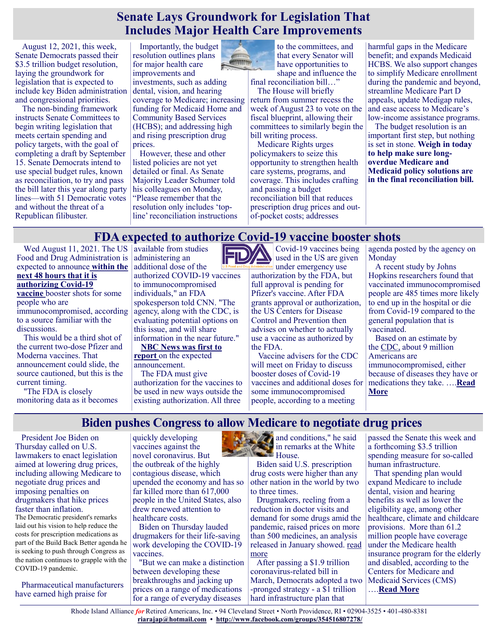### **Senate Lays Groundwork for Legislation That Includes Major Health Care Improvements**

August 12, 2021, this week, Senate Democrats passed their \$3.5 trillion budget resolution, laying the groundwork for legislation that is expected to include key Biden administration and congressional priorities.

The non-binding framework instructs Senate Committees to begin writing legislation that meets certain spending and policy targets, with the goal of completing a draft by September 15. Senate Democrats intend to use special budget rules, known as reconciliation, to try and pass the bill later this year along party lines—with 51 Democratic votes and without the threat of a Republican filibuster.

Importantly, the budget resolution outlines plans for major health care improvements and

investments, such as adding dental, vision, and hearing coverage to Medicare; increasing funding for Medicaid Home and Community Based Services (HCBS); and addressing high and rising prescription drug prices.

However, these and other listed policies are not yet detailed or final. As Senate Majority Leader Schumer told his colleagues on Monday, "Please remember that the resolution only includes 'topline' reconciliation instructions



that every Senator will have opportunities to shape and influence the

final reconciliation bill…" The House will briefly return from summer recess the week of August 23 to vote on the fiscal blueprint, allowing their committees to similarly begin the bill writing process.

Medicare Rights urges policymakers to seize this opportunity to strengthen health care systems, programs, and coverage. This includes crafting and passing a budget reconciliation bill that reduces prescription drug prices and outof-pocket costs; addresses

harmful gaps in the Medicare benefit; and expands Medicaid HCBS. We also support changes to simplify Medicare enrollment during the pandemic and beyond, streamline Medicare Part D appeals, update Medigap rules, and ease access to Medicare's low-income assistance programs.

The budget resolution is an important first step, but nothing is set in stone. **[Weigh in today](https://actionnetwork.org/letters/tell-congress-to-prioritize-medicare-and-medicaid-improvements/)  [to help make sure long](https://actionnetwork.org/letters/tell-congress-to-prioritize-medicare-and-medicaid-improvements/)[overdue Medicare and](https://actionnetwork.org/letters/tell-congress-to-prioritize-medicare-and-medicaid-improvements/)  [Medicaid policy solutions are](https://actionnetwork.org/letters/tell-congress-to-prioritize-medicare-and-medicaid-improvements/)  [in the final reconciliation bill.](https://actionnetwork.org/letters/tell-congress-to-prioritize-medicare-and-medicaid-improvements/)**

### **FDA expected to authorize Covid-19 vaccine booster shots**

Wed August 11, 2021. The US available from studies Food and Drug Administration is expected to announce **[within the](https://www.cnn.com/2021/08/05/politics/fda-covid-booster-shot/index.html)  [next 48 hours that it is](https://www.cnn.com/2021/08/05/politics/fda-covid-booster-shot/index.html)** 

**[authorizing Covid](https://www.cnn.com/2021/08/05/politics/fda-covid-booster-shot/index.html)-19 [vaccine](https://www.cnn.com/2021/08/05/politics/fda-covid-booster-shot/index.html)** booster shots for some people who are immunocompromised, according to a source familiar with the

discussions. This would be a third shot of

the current two-dose Pfizer and Moderna vaccines. That announcement could slide, the source cautioned, but this is the current timing.

"The FDA is closely monitoring data as it becomes administering an additional dose of the authorized COVID-19 vaccines to immunocompromised individuals," an FDA spokesperson told CNN. "The agency, along with the CDC, is evaluating potential options on this issue, and will share information in the near future."

**[NBC News was first to](https://www.nbcnews.com/health/health-news/fda-poised-ok-third-vaccine-dose-immune-compromised-people-n1276602)  [report](https://www.nbcnews.com/health/health-news/fda-poised-ok-third-vaccine-dose-immune-compromised-people-n1276602)** on the expected announcement.

The FDA must give authorization for the vaccines to be used in new ways outside the existing authorization. All three



Covid-19 vaccines being used in the US are given

under emergency use authorization by the FDA, but full approval is pending for Pfizer's vaccine. After FDA grants approval or authorization, the US Centers for Disease Control and Prevention then advises on whether to actually use a vaccine as authorized by the FDA.

Vaccine advisers for the CDC will meet on Friday to discuss booster doses of Covid-19 vaccines and additional doses for some immunocompromised people, according to a meeting

agenda posted by the agency on Monday

A recent study by Johns Hopkins researchers found that vaccinated immunocompromised people are 485 times more likely to end up in the hospital or die from Covid-19 compared to the general population that is vaccinated.

Based on an estimate by the [CDC,](https://www.cdc.gov/vaccines/acip/meetings/downloads/slides-2021-07/07-COVID-Oliver-508.pdf) about 9 million Americans are immunocompromised, either because of diseases they have or medications they take. ….**[Read](https://www.cnn.com/2021/08/11/politics/fda-third-dose-covid-19-vaccine/index.html)  [More](https://www.cnn.com/2021/08/11/politics/fda-third-dose-covid-19-vaccine/index.html)**

## **Biden pushes Congress to allow Medicare to negotiate drug prices**

President Joe Biden on Thursday called on U.S. lawmakers to enact legislation aimed at lowering drug prices, including allowing Medicare to negotiate drug prices and imposing penalties on drugmakers that hike prices faster than inflation.

The Democratic president's remarks laid out his vision to help reduce the costs for prescription medications as part of the Build Back Better agenda he is seeking to push through Congress as the nation continues to grapple with the COVID-19 pandemic.

Pharmaceutical manufacturers have earned high praise for

quickly developing vaccines against the novel coronavirus. But the outbreak of the highly contagious disease, which upended the economy and has so far killed more than 617,000 people in the United States, also drew renewed attention to healthcare costs.

Biden on Thursday lauded drugmakers for their life-saving work developing the COVID-19 vaccines.

"But we can make a distinction between developing these breakthroughs and jacking up prices on a range of medications for a range of everyday diseases

and conditions," he said in remarks at the White **House**.

Biden said U.S. prescription drug costs were higher than any other nation in the world by two to three times.

Drugmakers, reeling from a reduction in doctor visits and demand for some drugs amid the pandemic, raised prices on more than 500 medicines, an analysis released in January showed. [read](https://www.reuters.com/business/healthcare-pharmaceuticals/drugmakers-kick-off-2021-with-500-us-price-hikes-2021-01-04/)  [more](https://www.reuters.com/business/healthcare-pharmaceuticals/drugmakers-kick-off-2021-with-500-us-price-hikes-2021-01-04/)

After passing a \$1.9 trillion coronavirus-related bill in March, Democrats adopted a two -pronged strategy - a \$1 trillion hard infrastructure plan that

passed the Senate this week and a forthcoming \$3.5 trillion spending measure for so-called human infrastructure.

That spending plan would expand Medicare to include dental, vision and hearing benefits as well as lower the eligibility age, among other healthcare, climate and childcare provisions. More than 61.2 million people have coverage under the Medicare health insurance program for the elderly and disabled, according to the Centers for Medicare and Medicaid Services (CMS) ….**[Read More](https://www.reuters.com/world/us/biden-urge-congress-lower-prescription-drug-costs-2021-08-12/)**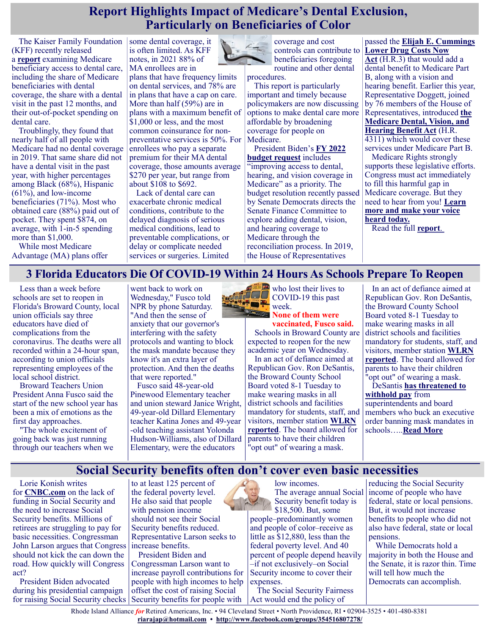### **Report Highlights Impact of Medicare's Dental Exclusion, Particularly on Beneficiaries of Color**

The Kaiser Family Foundation (KFF) recently released a **[report](https://www.kff.org/medicare/issue-brief/medicare-and-dental-coverage-a-closer-look/)** examining Medicare beneficiary access to dental care, including the share of Medicare beneficiaries with dental coverage, the share with a dental visit in the past 12 months, and their out-of-pocket spending on dental care.

Troublingly, they found that nearly half of all people with Medicare had no dental coverage in 2019. That same share did not have a dental visit in the past year, with higher percentages among Black (68%), Hispanic (61%), and low-income beneficiaries (71%). Most who obtained care (88%) paid out of pocket. They spent \$874, on average, with 1-in-5 spending more than \$1,000.

While most Medicare Advantage (MA) plans offer some dental coverage, it is often limited. As KFF notes, in 2021 88% of MA enrollees are in

plans that have frequency limits on dental services, and 78% are in plans that have a cap on care. More than half (59%) are in plans with a maximum benefit of \$1,000 or less, and the most common coinsurance for nonpreventative services is 50%. For enrollees who pay a separate premium for their MA dental coverage, those amounts average \$270 per year, but range from about \$108 to \$692.

Lack of dental care can exacerbate chronic medical conditions, contribute to the delayed diagnosis of serious medical conditions, lead to preventable complications, or delay or complicate needed services or surgeries. Limited



coverage and cost controls can contribute to beneficiaries foregoing routine and other dental

procedures.

This report is particularly important and timely because policymakers are now discussing options to make dental care more affordable by broadening coverage for people on Medicare.

President Biden's **[FY 2022](https://www.whitehouse.gov/omb/budget/)  [budget request](https://www.whitehouse.gov/omb/budget/)** includes "improving access to dental, hearing, and vision coverage in Medicare" as a priority. The budget resolution recently passed by Senate Democrats directs the Senate Finance Committee to explore adding dental, vision, and hearing coverage to Medicare through the reconciliation process. In 2019, the House of Representatives

**[Lower Drug Costs Now](https://www.congress.gov/bill/116th-congress/house-bill/3)  [Act](https://www.congress.gov/bill/116th-congress/house-bill/3)** (H.R.3) that would add a dental benefit to Medicare Part B, along with a vision and hearing benefit. Earlier this year, Representative Doggett, joined by 76 members of the House of Representatives, introduced **[the](https://www.congress.gov/bill/117th-congress/house-bill/4311/text)  [Medicare Dental, Vision, and](https://www.congress.gov/bill/117th-congress/house-bill/4311/text)  [Hearing Benefit Act](https://www.congress.gov/bill/117th-congress/house-bill/4311/text)** (H.R. 4311) which would cover these services under Medicare Part B. Medicare Rights strongly supports these legislative efforts. Congress must act immediately to fill this harmful gap in Medicare coverage. But they need to hear from you! **[Learn](https://actionnetwork.org/letters/tell-congress-to-prioritize-medicare-and-medicaid-improvements/)  [more and make your voice](https://actionnetwork.org/letters/tell-congress-to-prioritize-medicare-and-medicaid-improvements/)  [heard today.](https://actionnetwork.org/letters/tell-congress-to-prioritize-medicare-and-medicaid-improvements/)**

passed the **[Elijah E. Cummings](https://www.congress.gov/bill/116th-congress/house-bill/3)** 

Read the full **[report](https://www.kff.org/medicare/issue-brief/medicare-and-dental-coverage-a-closer-look/)**.

### **3 Florida Educators Die Of COVID-19 Within 24 Hours As Schools Prepare To Reopen**

Less than a week before schools are set to reopen in Florida's Broward County, local union officials say three educators have died of complications from the coronavirus. The deaths were all recorded within a 24-hour span, according to union officials representing employees of the local school district.

Broward Teachers Union President Anna Fusco said the start of the new school year has been a mix of emotions as the first day approaches.

"The whole excitement of going back was just running through our teachers when we went back to work on Wednesday," Fusco told NPR by phone Saturday. "And then the sense of anxiety that our governor's interfering with the safety protocols and wanting to block the mask mandate because they know it's an extra layer of protection. And then the deaths that were reported."

Fusco said 48-year-old Pinewood Elementary teacher and union steward Janice Wright, 49-year-old Dillard Elementary teacher Katina Jones and 49-year -old teaching assistant Yolonda Hudson-Williams, also of Dillard Elementary, were the educators



**vaccinated, Fusco said.**

Schools in Broward County are expected to reopen for the new academic year on Wednesday.

In an act of defiance aimed at Republican Gov. Ron DeSantis, the Broward County School Board voted 8-1 Tuesday to make wearing masks in all district schools and facilities mandatory for students, staff, and visitors, member station **[WLRN](https://www.wlrn.org/news/2021-08-10/bring-it-broward-school-board-mandates-masks-plans-legal-challenge-targeting-desantis-ban)  [reported](https://www.wlrn.org/news/2021-08-10/bring-it-broward-school-board-mandates-masks-plans-legal-challenge-targeting-desantis-ban)**. The board allowed for parents to have their children "opt out" of wearing a mask.

In an act of defiance aimed at Republican Gov. Ron DeSantis, the Broward County School Board voted 8-1 Tuesday to make wearing masks in all district schools and facilities mandatory for students, staff, and visitors, member station **[WLRN](https://www.wlrn.org/news/2021-08-10/bring-it-broward-school-board-mandates-masks-plans-legal-challenge-targeting-desantis-ban)  [reported](https://www.wlrn.org/news/2021-08-10/bring-it-broward-school-board-mandates-masks-plans-legal-challenge-targeting-desantis-ban)**. The board allowed for parents to have their children "opt out" of wearing a mask. DeSantis **[has threatened to](https://www.npr.org/sections/coronavirus-live-updates/2021/08/09/1026299001/florida-governor-desantis-school-superintendent-salary-masks)** 

**[withhold pay](https://www.npr.org/sections/coronavirus-live-updates/2021/08/09/1026299001/florida-governor-desantis-school-superintendent-salary-masks)** from superintendents and board members who buck an executive order banning mask mandates in schools…..**[Read More](https://www.npr.org/sections/coronavirus-live-updates/2021/08/14/1027730035/broward-county-florida-teachers-covid-coronavirus-deaths)**

### **Social Security benefits often don't cover even basic necessities**

Lorie Konish writes for **[CNBC.com](https://www.cnbc.com/2021/06/17/struggling-on-social-security-how-retirees-say-benefits-should-change.html)** on the lack of funding in Social Security and the need to increase Social Security benefits. Millions of retirees are struggling to pay for basic necessities. Congressman John Larson argues that Congress should not kick the can down the road. How quickly will Congress act?

President Biden advocated during his presidential campaign for raising Social Security checks

to at least 125 percent of the federal poverty level. He also said that people with pension income should not see their Social Security benefits reduced. Representative Larson seeks to increase benefits.

President Biden and Congressman Larson want to increase payroll contributions for people with high incomes to help offset the cost of raising Social Security benefits for people with

low incomes. The average annual Social Security benefit today is \$18,500. But, some people–predominantly women and people of color–receive as little as \$12,880, less than the federal poverty level. And 40 percent of people depend heavily –if not exclusively–on Social Security income to cover their expenses.

The Social Security Fairness Act would end the policy of

reducing the Social Security income of people who have federal, state or local pensions. But, it would not increase benefits to people who did not also have federal, state or local pensions.

While Democrats hold a majority in both the House and the Senate, it is razor thin. Time will tell how much the Democrats can accomplish.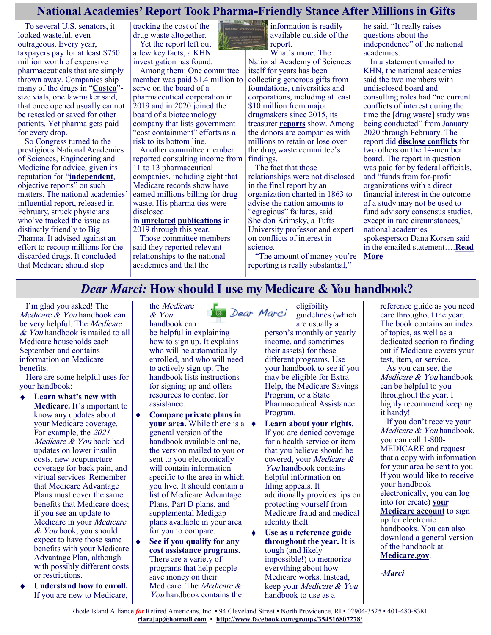### **National Academies' Report Took Pharma-Friendly Stance After Millions in Gifts**

To several U.S. senators, it looked wasteful, even outrageous. Every year, taxpayers pay for at least \$750 million worth of expensive pharmaceuticals that are simply thrown away. Companies ship many of the drugs in "**[Costco](https://twitter.com/senatordurbin/status/1106290247749513217?lang=en)**" size vials, one lawmaker said, that once opened usually cannot be resealed or saved for other patients. Yet pharma gets paid for every drop.

So Congress turned to the prestigious National Academies of Sciences, Engineering and Medicine for advice, given its reputation for "**[independent](https://www.nationalacademies.org/about)**, objective reports" on such matters. The national academies' influential report, released in February, struck physicians who've tracked the issue as distinctly friendly to Big Pharma. It advised against an effort to recoup millions for the discarded drugs. It concluded that Medicare should stop

tracking the cost of the drug waste altogether. Yet the report left out a few key facts, a KHN

investigation has found. Among them: One committee member was paid \$1.4 million to serve on the board of a pharmaceutical corporation in 2019 and in 2020 joined the board of a biotechnology company that lists government "cost containment" efforts as a risk to its bottom line.

Another committee member reported consulting income from 11 to 13 pharmaceutical companies, including eight that Medicare records show have earned millions billing for drug waste. His pharma ties were disclosed

in **[unrelated](https://www.bmj.com/content/370/bmj.m2588) [publications](https://jamanetwork.com/journals/jamanetworkopen/fullarticle/2777862)** in 2019 through this year.

Those committee members said they reported relevant relationships to the national academies and that the

information is readily available outside of the report.

What's more: The National Academy of Sciences itself for years has been collecting generous gifts from foundations, universities and corporations, including at least \$10 million from major drugmakers since 2015, its treasurer **[reports](https://www.nap.edu/read/26227/chapter/1)** show. Among the donors are companies with millions to retain or lose over the drug waste committee's findings.

The fact that those relationships were not disclosed in the final report by an organization charted in 1863 to advise the nation amounts to "egregious" failures, said Sheldon Krimsky, a Tufts University professor and expert on conflicts of interest in science.

"The amount of money you're reporting is really substantial,"

he said. "It really raises questions about the independence" of the national academies.

In a statement emailed to KHN, the national academies said the two members with undisclosed board and consulting roles had "no current conflicts of interest during the time the [drug waste] study was being conducted" from January 2020 through February. The report did **[disclose conflicts](https://www.nationalacademies.org/our-work/implications-of-discarded-weight-based-drugs#sectionCommittee)** for two others on the 14-member board. The report in question was paid for by federal officials, and "funds from for-profit organizations with a direct financial interest in the outcome of a study may not be used to fund advisory consensus studies, except in rare circumstances," national academies spokesperson Dana Korsen said in the emailed statement….**[Read](https://khn.org/news/article/national-academies-big-pharma-support-drug-waste-report/)  [More](https://khn.org/news/article/national-academies-big-pharma-support-drug-waste-report/)**

### *Dear Marci:* **How should I use my Medicare & You handbook?**

I'm glad you asked! The Medicare & You handbook can be very helpful. The Medicare  $&$  *You* handbook is mailed to all Medicare households each September and contains information on Medicare benefits.

 Here are some helpful uses for your handbook:

- **Learn what's new with Medicare.** It's important to know any updates about your Medicare coverage. For example, the <sup>2021</sup> Medicare & You book had updates on lower insulin costs, new acupuncture coverage for back pain, and virtual services. Remember that Medicare Advantage Plans must cover the same benefits that Medicare does; if you see an update to Medicare in your Medicare & You book, you should expect to have those same benefits with your Medicare Advantage Plan, although with possibly different costs or restrictions.
- **Understand how to enroll.**  If you are new to Medicare,

the Medicare @ Dear Marci & You handbook can be helpful in explaining how to sign up. It explains who will be automatically enrolled, and who will need to actively sign up. The handbook lists instructions for signing up and offers resources to contact for assistance.

- **Compare private plans in your area.** While there is a general version of the handbook available online, the version mailed to you or sent to you electronically will contain information specific to the area in which you live. It should contain a list of Medicare Advantage Plans, Part D plans, and supplemental Medigap plans available in your area for you to compare.
- **See if you qualify for any cost assistance programs.**  There are a variety of programs that help people save money on their Medicare. The Medicare & You handbook contains the

eligibility guidelines (which are usually a person's monthly or yearly income, and sometimes their assets) for these different programs. Use your handbook to see if you may be eligible for Extra Help, the Medicare Savings Program, or a State Pharmaceutical Assistance Program.

- **Learn about your rights.**  If you are denied coverage for a health service or item that you believe should be covered, your Medicare & You handbook contains helpful information on filing appeals. It additionally provides tips on protecting yourself from Medicare fraud and medical identity theft.
- **Use as a reference guide throughout the year.** It is tough (and likely impossible!) to memorize everything about how Medicare works. Instead, keep your Medicare & You handbook to use as a

reference guide as you need care throughout the year. The book contains an index of topics, as well as a dedicated section to finding out if Medicare covers your test, item, or service.

 As you can see, the Medicare & You handbook can be helpful to you throughout the year. I highly recommend keeping it handy!

 If you don't receive your Medicare & You handbook, you can call 1-800- MEDICARE and request that a copy with information for your area be sent to you. If you would like to receive your handbook electronically, you can log into (or create) **[your](https://medicarerights.us15.list-manage.com/track/click?u=1621f54a596f3717c22815356&id=493c320b84&e=88d22ba1fe)  [Medicare account](https://medicarerights.us15.list-manage.com/track/click?u=1621f54a596f3717c22815356&id=493c320b84&e=88d22ba1fe)** to sign up for electronic handbooks. You can also download a general version of the handbook at **[Medicare.gov](https://medicarerights.us15.list-manage.com/track/click?u=1621f54a596f3717c22815356&id=5bc5adef9d&e=88d22ba1fe)**.

*-Marci*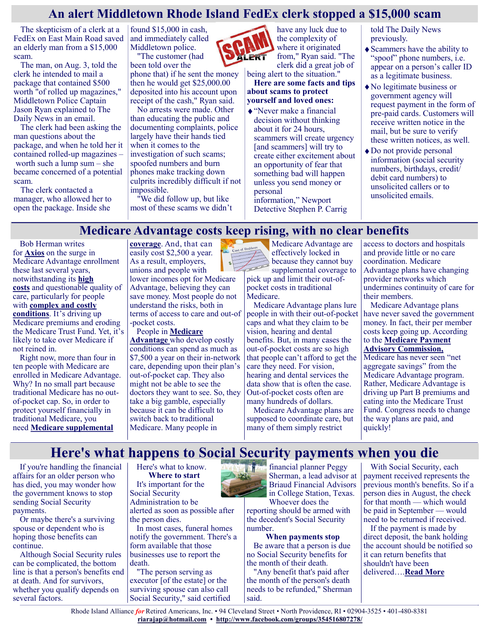### **An alert Middletown Rhode Island FedEx clerk stopped a \$15,000 scam**

The skepticism of a clerk at a FedEx on East Main Road saved an elderly man from a \$15,000 scam.

The man, on Aug. 3, told the clerk he intended to mail a package that contained \$500 worth "of rolled up magazines," Middletown Police Captain Jason Ryan explained to The Daily News in an email.

The clerk had been asking the man questions about the package, and when he told her it contained rolled-up magazines – worth such a lump sum – she became concerned of a potential scam.

The clerk contacted a manager, who allowed her to open the package. Inside she

found \$15,000 in cash, and immediately called Middletown police. "The customer (had

been told over the

phone that) if he sent the money then he would get \$25,000.00 deposited into his account upon receipt of the cash," Ryan said.

No arrests were made. Other than educating the public and documenting complaints, police largely have their hands tied when it comes to the investigation of such scams; spoofed numbers and burn phones make tracking down culprits incredibly difficult if not impossible.

"We did follow up, but like most of these scams we didn't



have any luck due to the complexity of where it originated from," Ryan said. "The clerk did a great job of

being alert to the situation." **Here are some facts and tips about scams to protect yourself and loved ones:**

"Never make a financial decision without thinking about it for 24 hours, scammers will create urgency [and scammers] will try to create either excitement about an opportunity of fear that something bad will happen unless you send money or personal

information," Newport Detective Stephen P. Carrig told The Daily News previously.

- Scammers have the ability to "spoof" phone numbers, i.e. appear on a person's caller ID as a legitimate business.
- No legitimate business or government agency will request payment in the form of pre-paid cards. Customers will receive written notice in the mail, but be sure to verify these written notices, as well.
- ◆ Do not provide personal information (social security numbers, birthdays, credit/ debit card numbers) to unsolicited callers or to unsolicited emails.

### **Medicare Advantage costs keep rising, with no clear benefits**

Bob Herman writes for **[Axios](https://www.axios.com/medicare-advantage-enrollment-spending-pandemic-risk-adjustment-d1a608ff-15eb-47bf-8952-0e1c5af097d5.html)** on the surge in Medicare Advantage enrollment these last several years, notwithstanding its **[high](https://justcareusa.org/costs-in-medicare-advantage-present-barrier-to-care/)  [costs](https://justcareusa.org/costs-in-medicare-advantage-present-barrier-to-care/)** and questionable quality of care, particularly for people with **[complex and costly](https://justcareusa.org/people-with-serious-health-needs-more-likely-to-disenroll-from-medicare-advantage-plans/)  [conditions](https://justcareusa.org/people-with-serious-health-needs-more-likely-to-disenroll-from-medicare-advantage-plans/)**. It's driving up Medicare premiums and eroding the Medicare Trust Fund. Yet, it's likely to take over Medicare if not reined in.

Right now, more than four in ten people with Medicare are enrolled in Medicare Advantage. Why? In no small part because traditional Medicare has no outof-pocket cap. So, in order to protect yourself financially in traditional Medicare, you need **[Medicare supplemental](https://justcareusa.org/four-things-to-think-about-when-choosing-a-plan-to-fill-gaps-in-medicare-a-medigap-or-medicare-supplemental-insurance-plan/)** 

**[coverage](https://justcareusa.org/four-things-to-think-about-when-choosing-a-plan-to-fill-gaps-in-medicare-a-medigap-or-medicare-supplemental-insurance-plan/)**. And, that can easily cost \$2,500 a year. As a result, employers, unions and people with lower incomes opt for Medicare Advantage, believing they can save money. Most people do not understand the risks, both in terms of access to care and out-of -pocket costs.

#### People in **[Medicare](https://justcareusa.org/what-are-medicare-premium-and-other-costs-in-2021/)**

**[Advantage](https://justcareusa.org/what-are-medicare-premium-and-other-costs-in-2021/)** who develop costly conditions can spend as much as \$7,500 a year on their in-network care, depending upon their plan's out-of-pocket cap. They also might not be able to see the doctors they want to see. So, they take a big gamble, especially because it can be difficult to switch back to traditional Medicare. Many people in

Medicare Advantage are . of Health effectively locked in because they cannot buy supplemental coverage to pick up and limit their out-ofpocket costs in traditional Medicare.

Medicare Advantage plans lure people in with their out-of-pocket caps and what they claim to be vision, hearing and dental benefits. But, in many cases the out-of-pocket costs are so high that people can't afford to get the care they need. For vision, hearing and dental services the data show that is often the case. Out-of-pocket costs often are many hundreds of dollars.

Medicare Advantage plans are supposed to coordinate care, but many of them simply restrict

access to doctors and hospitals and provide little or no care coordination. Medicare Advantage plans have changing provider networks which undermines continuity of care for their members.

Medicare Advantage plans have never saved the government money. In fact, their per member costs keep going up. According to the **[Medicare Payment](http://www.medpac.gov/docs/default-source/reports/jun21_medpac_report_to_congress_sec.pdf?sfvrsn=0&utm_source=newsletter&utm_medium=email&utm_campaign=newsletter_axiosvitals&stream=top)  [Advisory Commission,](http://www.medpac.gov/docs/default-source/reports/jun21_medpac_report_to_congress_sec.pdf?sfvrsn=0&utm_source=newsletter&utm_medium=email&utm_campaign=newsletter_axiosvitals&stream=top)**  Medicare has never seen "net

aggregate savings" from the Medicare Advantage program. Rather, Medicare Advantage is driving up Part B premiums and eating into the Medicare Trust Fund. Congress needs to change the way plans are paid, and quickly!

# **Here's what happens to Social Security payments when you die**

If you're handling the financial affairs for an older person who has died, you may wonder how the government knows to stop sending Social Security payments.

Or maybe there's a surviving spouse or dependent who is hoping those benefits can continue.

Although Social Security rules can be complicated, the bottom line is that a person's benefits end at death. And for survivors, whether you qualify depends on several factors.

Here's what to know. **Where to start**

It's important for the Social Security

Administration to be alerted as soon as possible after

the person dies. In most cases, funeral homes notify the government. There's a

[form available](https://www.ssa.gov/forms/ssa-721.pdf) that those businesses use to report the death. "The person serving as

executor [of the estate] or the surviving spouse can also call Social Security," said certified



financial planner Peggy Sherman, a lead advisor at Briaud Financial Advisors in College Station, Texas.

Whoever does the reporting should be armed with the decedent's Social Security number.

#### **When payments stop**

Be aware that a person is due no Social Security benefits for the month of their death.

"Any benefit that's paid after the month of the person's death needs to be refunded," Sherman said.

With Social Security, each payment received represents the previous month's benefits. So if a person dies in August, the check for that month — which would be paid in September — would need to be returned if received.

If the payment is made by direct deposit, the bank holding the account should be notified so it can return benefits that shouldn't have been delivered….**[Read More](https://www.msn.com/en-us/money/retirement/here-s-what-happens-to-social-security-payments-when-you-die/ar-AANnHpK?ocid=SK2DDHP)**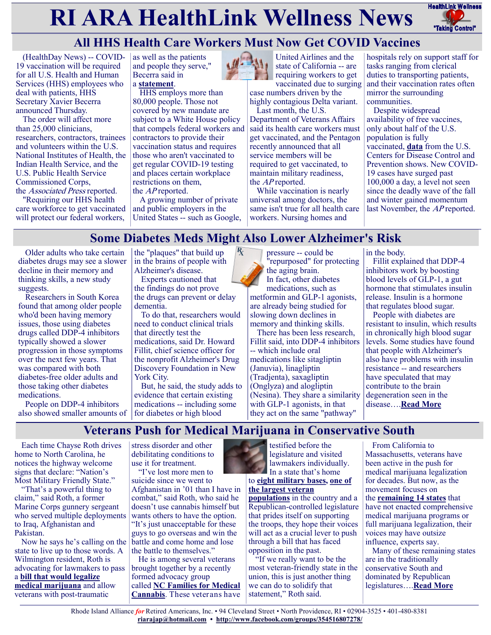# **RI ARA HealthLink Wellness News** HealthLink Wellness



# **All HHS Health Care Workers Must Now Get COVID Vaccines**

(HealthDay News) -- COVID-19 vaccination will be required for all U.S. Health and Human Services (HHS) employees who deal with patients, HHS Secretary Xavier Becerra announced Thursday.

The order will affect more than 25,000 clinicians, researchers, contractors, trainees and volunteers within the U.S. National Institutes of Health, the Indian Health Service, and the U.S. Public Health Service Commissioned Corps, the Associated Press reported.

"Requiring our HHS health care workforce to get vaccinated will protect our federal workers,

as well as the patients and people they serve," Becerra said in

#### a **[statement](https://www.hhs.gov/about/news/2021/08/12/secretary-becerra-to-require-covid-19-vaccinations-for-hhs-health-care-workforce.html)**.

HHS employs more than 80,000 people. Those not covered by new mandate are subject to a White House policy that compels federal workers and contractors to provide their vaccination status and requires those who aren't vaccinated to get regular COVID-19 testing and places certain workplace restrictions on them, the AP reported.

A growing number of private and public employers in the United States -- such as Google,



United Airlines and the state of California -- are requiring workers to get vaccinated due to surging

case numbers driven by the highly contagious Delta variant. Last month, the U.S.

Department of Veterans Affairs said its health care workers must get vaccinated, and the Pentagon recently announced that all service members will be required to get vaccinated, to maintain military readiness, the AP reported.

While vaccination is nearly universal among doctors, the same isn't true for all health care workers. Nursing homes and

hospitals rely on support staff for tasks ranging from clerical duties to transporting patients, and their vaccination rates often mirror the surrounding communities.

Despite widespread availability of free vaccines, only about half of the U.S. population is fully vaccinated, **[data](https://covid.cdc.gov/covid-data-tracker/#vaccinations_vacc-total-admin-rate-total)** from the U.S. Centers for Disease Control and Prevention shows. New COVID-19 cases have surged past 100,000 a day, a level not seen since the deadly wave of the fall and winter gained momentum last November, the AP reported.

### **Some Diabetes Meds Might Also Lower Alzheimer's Risk**

 $\overline{\mathbf{R}}$ 

Older adults who take certain diabetes drugs may see a slower decline in their memory and thinking skills, a new study suggests.

Researchers in South Korea found that among older people who'd been having memory issues, those using diabetes drugs called DDP-4 inhibitors typically showed a slower progression in those symptoms over the next few years. That was compared with both diabetes-free older adults and those taking other diabetes medications.

People on DDP-4 inhibitors also showed smaller amounts of for diabetes or high blood

the "plaques" that build up in the brains of people with Alzheimer's disease.

Experts cautioned that the findings do not prove the drugs can prevent or delay dementia.

To do that, researchers would need to conduct clinical trials that directly test the medications, said Dr. Howard Fillit, chief science officer for the nonprofit Alzheimer's Drug Discovery Foundation in New York City.

But, he said, the study adds to evidence that certain existing medications -- including some

pressure -- could be "repurposed" for protecting the aging brain. In fact, other diabetes medications, such as metformin and GLP-1 agonists, are already being studied for slowing down declines in memory and thinking skills.

There has been less research, Fillit said, into DDP-4 inhibitors -- which include oral medications like sitagliptin (Januvia), linagliptin (Tradjenta), saxagliptin (Onglyza) and alogliptin (Nesina). They share a similarity with GLP-1 agonists, in that they act on the same "pathway"

in the body.

Fillit explained that DDP-4 inhibitors work by boosting blood levels of GLP-1, a gut hormone that stimulates insulin release. Insulin is a hormone that regulates blood sugar.

People with diabetes are resistant to insulin, which results in chronically high blood sugar levels. Some studies have found that people with Alzheimer's also have problems with insulin resistance -- and researchers have speculated that may contribute to the brain degeneration seen in the disease….**[Read More](https://consumer.healthday.com/8-12-some-diabetes-meds-might-also-lower-alzheimer-s-risk-2654499247.html)**

### **Veterans Push for Medical Marijuana in Conservative South**

Each time Chayse Roth drives home to North Carolina, he notices the highway welcome signs that declare: "Nation's Most Military Friendly State."

"That's a powerful thing to claim," said Roth, a former Marine Corps gunnery sergeant who served multiple deployments to Iraq, Afghanistan and Pakistan.

Now he says he's calling on the state to live up to those words. A Wilmington resident, Roth is advocating for lawmakers to pass a **[bill that would legalize](https://www.ncleg.gov/BillLookUp/2021/s711)  [medical marijuana](https://www.ncleg.gov/BillLookUp/2021/s711)** and allow veterans with post-traumatic

stress disorder and other debilitating conditions to use it for treatment.

"I've lost more men to suicide since we went to Afghanistan in '01 than I have in combat," said Roth, who said he doesn't use cannabis himself but wants others to have the option. "It's just unacceptable for these guys to go overseas and win the battle and come home and lose the battle to themselves."

He is among several veterans brought together by a recently formed advocacy group called **[NC Families for Medical](https://ncfamiliesformedicalcannabis.com/)  [Cannabis](https://ncfamiliesformedicalcannabis.com/)**. These veterans have

testified before the legislature and visited lawmakers individually. In a state that's home

#### to **[eight military bases,](https://militarybases.com/north-carolina/) [one of](https://www.va.gov/vetdata/docs/Maps/VetPop16_PopStateFY19.pdf)  [the largest veteran](https://www.va.gov/vetdata/docs/Maps/VetPop16_PopStateFY19.pdf)**

**[populations](https://www.va.gov/vetdata/docs/Maps/VetPop16_PopStateFY19.pdf)** in the country and a Republican-controlled legislature that prides itself on supporting the troops, they hope their voices will act as a crucial lever to push through a bill that has faced opposition in the past.

"If we really want to be the most veteran-friendly state in the union, this is just another thing we can do to solidify that statement," Roth said.

From California to Massachusetts, veterans have been active in the push for medical marijuana legalization for decades. But now, as the movement focuses on the **[remaining 14 states](https://www.ncsl.org/research/health/state-medical-marijuana-laws.aspx)** that have not enacted comprehensive medical marijuana programs or full marijuana legalization, their voices may have outsize influence, experts say.

Many of these remaining states are in the traditionally conservative South and dominated by Republican legislatures….**[Read More](https://khn.org/news/article/veterans-medical-marijuana-conservative-south-ptsd/)**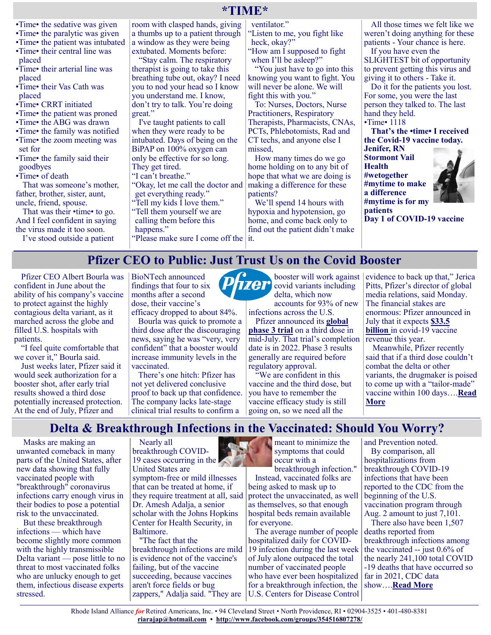### **\*TIME\***

- •Time• the sedative was given
- •Time• the paralytic was given
- •Time• the patient was intubated
- •Time• their central line was placed
- •Time• their arterial line was placed
- •Time• their Vas Cath was placed
- •Time• CRRT initiated
- •Time• the patient was proned
- •Time• the ABG was drawn
- •Time• the family was notified •Time• the zoom meeting was set for
- •Time• the family said their goodbyes
- •Time• of death

That was someone's mother, father, brother, sister, aunt, uncle, friend, spouse.

That was their •time• to go. And I feel confident in saying the virus made it too soon.

I've stood outside a patient

room with clasped hands, giving a thumbs up to a patient through a window as they were being extubated. Moments before:

"Stay calm. The respiratory therapist is going to take this breathing tube out, okay? I need you to nod your head so I know you understand me. I know, don't try to talk. You're doing great."

I've taught patients to call when they were ready to be intubated. Days of being on the BiPAP on 100% oxygen can only be effective for so long. They get tired. "I can't breathe." "Okay, let me call the doctor and get everything ready." "Tell my kids I love them." "Tell them yourself we are calling them before this happens." "Please make sure I come off the ventilator."

- "Listen to me, you fight like heck, okay?"
- "How am I supposed to fight when I'll be asleep?"

"You just have to go into this knowing you want to fight. You will never be alone. We will fight this with you."

To: Nurses, Doctors, Nurse Practitioners, Respiratory Therapists, Pharmacists, CNAs, PCTs, Phlebotomists, Rad and CT techs, and anyone else I missed,

How many times do we go home holding on to any bit of hope that what we are doing is making a difference for these patients?

We'll spend 14 hours with hypoxia and hypotension, go home, and come back only to find out the patient didn't make it.

All those times we felt like we weren't doing anything for these patients - Your chance is here.

If you have even the SLIGHTEST bit of opportunity to prevent getting this virus and giving it to others - Take it.

Do it for the patients you lost. For some, you were the last person they talked to. The last hand they held. •Time• 1118

**That's the •time• I received the Covid-19 vaccine today.**

**Jenifer, RN Stormont Vail Health [#wetogether](https://www.facebook.com/hashtag/wetogether?__eep__=6&__cft__%5b0%5d=AZW1gJAvkzYIZduSnl8UQE-rPfxGcDexUeh0incRtl0Sdbi6K9LVAC0M9iKtjqnvGvCZ6sJY2G_RStnqWLEYDax9UGb_3vE_P7UXGAAM8aG84riLh7CNc4BYok830RIUK73MhJPfKoUb6dD15jLELt6BsxcO8vKuq_8ZIU3NrOLgiaehxQDpCJ07NgwdN4) #mytime to make a difference [#mytime i](https://www.facebook.com/hashtag/mytime?__eep__=6&__cft__%5b0%5d=AZW1gJAvkzYIZduSnl8UQE-rPfxGcDexUeh0incRtl0Sdbi6K9LVAC0M9iKtjqnvGvCZ6sJY2G_RStnqWLEYDax9UGb_3vE_P7UXGAAM8aG84riLh7CNc4BYok830RIUK73MhJPfKoUb6dD15jLELt6BsxcO8vKuq_8ZIU3NrOLgiaehxQDpCJ07NgwdN4lna-)s for my patients**



**Day 1 of COVID-19 vaccine**

### **Pfizer CEO to Public: Just Trust Us on the Covid Booster**

Pfizer CEO Albert Bourla was confident in June about the ability of his company's vaccine to protect against the highly contagious delta variant, as it marched across the globe and filled U.S. hospitals with patients.

"I feel quite comfortable that we cover it," Bourla said.

Just weeks later, Pfizer said it would seek authorization for a booster shot, after early trial results showed a third dose potentially increased protection. At the end of July, Pfizer and

BioNTech announced findings that four to six months after a second dose, their vaccine's

efficacy dropped to about 84%.

Bourla was quick to promote a third dose after the discouraging news, saying he was "very, very confident" that a booster would increase immunity levels in the vaccinated.

There's one hitch: Pfizer has not yet delivered conclusive proof to back up that confidence. The company lacks late-stage clinical trial results to confirm a

booster will work against *Tzer* covid variants including delta, which now accounts for 93% of new

infections across the U.S. Pfizer announced its **[global](https://clinicaltrials.gov/ct2/show/NCT04955626?term=Pfizer&cond=Covid19&draw=3started)** 

**[phase 3 trial](https://clinicaltrials.gov/ct2/show/NCT04955626?term=Pfizer&cond=Covid19&draw=3started)** on a third dose in mid-July. That trial's completion date is in 2022. Phase 3 results generally are required before regulatory approval.

"We are confident in this vaccine and the third dose, but you have to remember the vaccine efficacy study is still going on, so we need all the

evidence to back up that," Jerica Pitts, Pfizer's director of global media relations, said Monday. The financial stakes are enormous: Pfizer announced in July that it expects **[\\$33.5](https://investors.pfizer.com/investor-news/press-release-details/2021/PFIZER-REPORTS-SECOND-QUARTER-2021-RESULTS/default.aspx)  [billion](https://investors.pfizer.com/investor-news/press-release-details/2021/PFIZER-REPORTS-SECOND-QUARTER-2021-RESULTS/default.aspx)** in covid-19 vaccine revenue this year.

Meanwhile, Pfizer recently said that if a third dose couldn't combat the delta or other variants, the drugmaker is poised to come up with a "tailor-made" vaccine within 100 days....**Read [More](https://khn.org/news/article/pfizer-ceo-albert-bourla-covid-booster-evidence-lacking/)**

### **Delta & Breakthrough Infections in the Vaccinated: Should You Worry?**

Masks are making an unwanted comeback in many parts of the United States, after new data showing that fully vaccinated people with "breakthrough" coronavirus infections carry enough virus in their bodies to pose a potential risk to the unvaccinated.

But these breakthrough infections — which have become slightly more common with the highly transmissible Delta variant — pose little to no threat to most vaccinated folks who are unlucky enough to get them, infectious disease experts stressed.

Nearly all breakthrough COVID-19 cases occurring in the United States are symptom-free or mild illnesses that can be treated at home, if they require treatment at all, said Dr. Amesh Adalja, a senior scholar with the Johns Hopkins Center for Health Security, in

Baltimore. "The fact that the breakthrough infections are mild is evidence not of the vaccine's failing, but of the vaccine succeeding, because vaccines aren't force fields or bug zappers," Adalja said. "They are



meant to minimize the symptoms that could occur with a

breakthrough infection." Instead, vaccinated folks are being asked to mask up to protect the unvaccinated, as well as themselves, so that enough hospital beds remain available for everyone.

The average number of people hospitalized daily for COVID-19 infection during the last week of July alone outpaced the total number of vaccinated people who have ever been hospitalized for a breakthrough infection, the U.S. Centers for Disease Control and Prevention noted. By comparison, all hospitalizations from breakthrough COVID-19 infections that have been reported to the CDC from the beginning of the U.S. vaccination program through Aug. 2 amount to just 7,101.

There also have been 1,507 deaths reported from breakthrough infections among the vaccinated -- just 0.6% of the nearly 241,100 total COVID -19 deaths that have occurred so far in 2021, CDC data show….**[Read More](https://consumer.healthday.com/8-13-delta-breakthrough-infections-in-the-vaccinated-should-you-worry-2654614826.html)**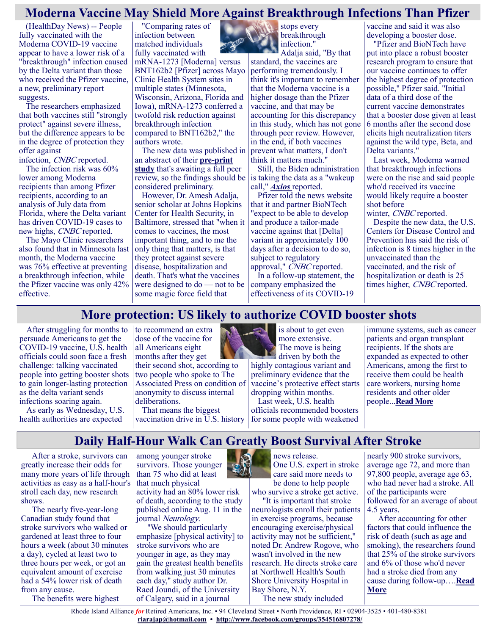### **Moderna Vaccine May Shield More Against Breakthrough Infections Than Pfizer**

(HealthDay News) -- People fully vaccinated with the Moderna COVID-19 vaccine appear to have a lower risk of a "breakthrough" infection caused by the Delta variant than those who received the Pfizer vaccine, a new, preliminary report suggests.

The researchers emphasized that both vaccines still "strongly protect" against severe illness, but the difference appears to be in the degree of protection they offer against

infection, CNBC reported. The infection risk was 60% lower among Moderna recipients than among Pfizer recipients, according to an analysis of July data from Florida, where the Delta variant has driven COVID-19 cases to new highs, CNBC reported.

The Mayo Clinic researchers also found that in Minnesota last month, the Moderna vaccine was 76% effective at preventing a breakthrough infection, while the Pfizer vaccine was only 42% effective.

"Comparing rates of infection between matched individuals fully vaccinated with

mRNA-1273 [Moderna] versus BNT162b2 [Pfizer] across Mayo Clinic Health System sites in multiple states (Minnesota, Wisconsin, Arizona, Florida and Iowa), mRNA-1273 conferred a twofold risk reduction against breakthrough infection compared to BNT162b2," the authors wrote.

The new data was published in an abstract of their **pre-[print](https://www.medrxiv.org/content/10.1101/2021.08.06.21261707v1)  [study](https://www.medrxiv.org/content/10.1101/2021.08.06.21261707v1)** that's awaiting a full peer review, so the findings should be considered preliminary.

However, Dr. Amesh Adalja, senior scholar at Johns Hopkins Center for Health Security, in Baltimore, stressed that "when it comes to vaccines, the most important thing, and to me the only thing that matters, is that they protect against severe disease, hospitalization and death. That's what the vaccines were designed to do — not to be some magic force field that

stops every breakthrough infection."

Adalja said, "By that standard, the vaccines are performing tremendously. I think it's important to remember that the Moderna vaccine is a higher dosage than the Pfizer vaccine, and that may be accounting for this discrepancy in this study, which has not gone through peer review. However, in the end, if both vaccines prevent what matters, I don't think it matters much."

Still, the Biden administration is taking the data as a "wakeup call," *[Axios](https://www.axios.com/coronavirus-vaccines-pfizer-moderna-delta-biden-e9be4bb0-3d10-4f56-8054-5410be357070.html)* reported.

Pfizer told the news website that it and partner BioNTech "expect to be able to develop and produce a tailor-made vaccine against that [Delta] variant in approximately 100 days after a decision to do so, subject to regulatory approval," CNBC reported.

In a follow-up statement, the company emphasized the effectiveness of its COVID-19

vaccine and said it was also developing a booster dose.

"Pfizer and BioNTech have put into place a robust booster research program to ensure that our vaccine continues to offer the highest degree of protection possible," Pfizer said. "Initial data of a third dose of the current vaccine demonstrates that a booster dose given at least 6 months after the second dose elicits high neutralization titers against the wild type, Beta, and Delta variants."

Last week, Moderna warned that breakthrough infections were on the rise and said people who'd received its vaccine would likely require a booster shot before

winter, *CNBC* reported. Despite the new data, the U.S. Centers for Disease Control and Prevention has said the risk of infection is 8 times higher in the unvaccinated than the vaccinated, and the risk of hospitalization or death is 25 times higher, CNBC reported.

### **More protection: US likely to authorize COVID booster shots**

After struggling for months to persuade Americans to get the COVID-19 vaccine, U.S. health officials could soon face a fresh challenge: talking vaccinated people into getting booster shots to gain longer-lasting protection as the delta variant sends infections soaring again.

As early as Wednesday, U.S. health authorities are expected

to recommend an extra dose of the vaccine for all Americans eight months after they get their second shot, according to two people who spoke to The Associated Press on condition of anonymity to discuss internal deliberations.

That means the biggest vaccination drive in U.S. history



more extensive. The move is being driven by both the highly contagious variant and preliminary evidence that the vaccine's protective effect starts

dropping within months. Last week, U.S. health officials recommended boosters for some people with weakened

immune systems, such as cancer patients and organ transplant recipients. If the shots are expanded as expected to other Americans, among the first to receive them could be health care workers, nursing home residents and other older people...**[Read More](https://apnews.com/article/business-health-coronavirus-pandemic-coronavirus-vaccine-21cd829d358e9b50b16515025dab2008)**

### **Daily Half-Hour Walk Can Greatly Boost Survival After Stroke**

After a stroke, survivors can greatly increase their odds for many more years of life through activities as easy as a half-hour's stroll each day, new research shows.

The nearly five-year-long Canadian study found that stroke survivors who walked or gardened at least three to four hours a week (about 30 minutes a day), cycled at least two to three hours per week, or got an equivalent amount of exercise had a 54% lower risk of death from any cause.

The benefits were highest

among younger stroke survivors. Those younger than 75 who did at least that much physical activity had an 80% lower risk of death, according to the study published online Aug. 11 in the journal Neurology.

"We should particularly emphasize [physical activity] to stroke survivors who are younger in age, as they may gain the greatest health benefits from walking just 30 minutes each day," study author Dr. Raed Joundi, of the University of Calgary, said in a journal



news release.

One U.S. expert in stroke care said more needs to be done to help people

who survive a stroke get active. "It is important that stroke neurologists enroll their patients in exercise programs, because encouraging exercise/physical activity may not be sufficient," noted Dr. Andrew Rogove, who wasn't involved in the new research. He directs stroke care at Northwell Health's South Shore University Hospital in

Bay Shore, N.Y. The new study included nearly 900 stroke survivors, average age 72, and more than 97,800 people, average age 63, who had never had a stroke. All of the participants were followed for an average of about 4.5 years.

After accounting for other factors that could influence the risk of death (such as age and smoking), the researchers found that 25% of the stroke survivors and 6% of those who'd never had a stroke died from any cause during follow-up….**[Read](https://consumer.healthday.com/sb-8-12-daily-half-hour-walk-can-greatly-boost-survival-after-stroke-2654499643.html)  [More](https://consumer.healthday.com/sb-8-12-daily-half-hour-walk-can-greatly-boost-survival-after-stroke-2654499643.html)**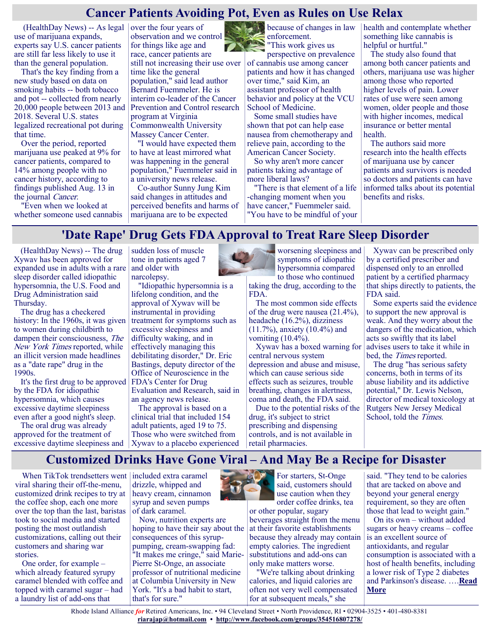### **Cancer Patients Avoiding Pot, Even as Rules on Use Relax**

(HealthDay News) -- As legal | over the four years of use of marijuana expands, experts say U.S. cancer patients are still far less likely to use it than the general population.

That's the key finding from a new study based on data on smoking habits -- both tobacco and pot -- collected from nearly 20,000 people between 2013 and 2018. Several U.S. states legalized recreational pot during that time.

Over the period, reported marijuana use peaked at 9% for cancer patients, compared to 14% among people with no cancer history, according to findings published Aug. 13 in the journal *Cancer*.

"Even when we looked at whether someone used cannabis observation and we control for things like age and race, cancer patients are still not increasing their use over time like the general population," said lead author Bernard Fuemmeler. He is interim co-leader of the Cancer Prevention and Control research program at Virginia Commonwealth University Massey Cancer Center.

"I would have expected them to have at least mirrored what was happening in the general population," Fuemmeler said in a university news release.

Co-author Sunny Jung Kim said changes in attitudes and perceived benefits and harms of marijuana are to be expected



**because of changes in law** enforcement.  $\sum$  "This work gives us

perspective on prevalence of cannabis use among cancer patients and how it has changed over time," said Kim, an assistant professor of health behavior and policy at the VCU School of Medicine.

Some small studies have shown that pot can help ease nausea from chemotherapy and relieve pain, according to the American Cancer Society.

So why aren't more cancer patients taking advantage of more liberal laws?

"There is that element of a life -changing moment when you have cancer," Fuemmeler said. "You have to be mindful of your health and contemplate whether something like cannabis is helpful or hurtful."

The study also found that among both cancer patients and others, marijuana use was higher among those who reported higher levels of pain. Lower rates of use were seen among women, older people and those with higher incomes, medical insurance or better mental health.

The authors said more research into the health effects of marijuana use by cancer patients and survivors is needed so doctors and patients can have informed talks about its potential benefits and risks.

### **'Date Rape' Drug Gets FDA Approval to Treat Rare Sleep Disorder**

(HealthDay News) -- The drug Xywav has been approved for expanded use in adults with a rare sleep disorder called idiopathic hypersomnia, the U.S. Food and Drug Administration said Thursday.

The drug has a checkered history: In the 1960s, it was given to women during childbirth to dampen their consciousness, The New York Times reported, while an illicit version made headlines as a "date rape" drug in the 1990s.

It's the first drug to be approved by the FDA for idiopathic hypersomnia, which causes excessive daytime sleepiness even after a good night's sleep.

The oral drug was already approved for the treatment of excessive daytime sleepiness and Xywav to a placebo experienced

sudden loss of muscle tone in patients aged 7 and older with narcolepsy.

"Idiopathic hypersomnia is a lifelong condition, and the approval of Xywav will be instrumental in providing treatment for symptoms such as excessive sleepiness and difficulty waking, and in effectively managing this debilitating disorder," Dr. Eric Bastings, deputy director of the Office of Neuroscience in the FDA's Center for Drug Evaluation and Research, said in an agency news release.

The approval is based on a clinical trial that included 154 adult patients, aged 19 to 75. Those who were switched from



taking the drug, according to the FDA.

The most common side effects of the drug were nausea (21.4%), headache (16.2%), dizziness (11.7%), anxiety (10.4%) and vomiting (10.4%).

Xywav has a boxed warning for central nervous system depression and abuse and misuse, which can cause serious side effects such as seizures, trouble breathing, changes in alertness, coma and death, the FDA said.

Due to the potential risks of the drug, it's subject to strict prescribing and dispensing controls, and is not available in retail pharmacies.

Xywav can be prescribed only by a certified prescriber and dispensed only to an enrolled patient by a certified pharmacy that ships directly to patients, the FDA said.

Some experts said the evidence to support the new approval is weak. And they worry about the dangers of the medication, which acts so swiftly that its label advises users to take it while in bed, the Times reported.

The drug "has serious safety concerns, both in terms of its abuse liability and its addictive potential," Dr. Lewis Nelson, director of medical toxicology at Rutgers New Jersey Medical School, told the Times.

### **Customized Drinks Have Gone Viral – And May Be a Recipe for Disaster**

When TikTok trendsetters went included extra caramel viral sharing their off-the-menu, customized drink recipes to try at the coffee shop, each one more over the top than the last, baristas took to social media and started posting the most outlandish customizations, calling out their customers and sharing war stories.

One order, for example – which already featured syrupy caramel blended with coffee and topped with caramel sugar – had a laundry list of add-ons that

drizzle, whipped and heavy cream, cinnamon syrup and seven pumps of dark caramel.

Now, nutrition experts are hoping to have their say about the consequences of this syruppumping, cream-swapping fad: "It makes me cringe," said Marie-Pierre St-Onge, an associate professor of nutritional medicine at Columbia University in New York. "It's a bad habit to start, that's for sure."



For starters, St-Onge said, customers should use caution when they order coffee drinks, tea

or other popular, sugary beverages straight from the menu at their favorite establishments because they already may contain empty calories. The ingredient substitutions and add-ons can only make matters worse.

"We're talking about drinking calories, and liquid calories are often not very well compensated for at subsequent meals," she

said. "They tend to be calories that are tacked on above and beyond your general energy requirement, so they are often those that lead to weight gain."

On its own – without added sugars or heavy creams – coffee is an excellent source of antioxidants, and regular consumption is associated with a host of health benefits, including a lower risk of Type 2 diabetes and Parkinson's disease. ….**[Read](https://consumer.healthday.com/aha-news-customized-drinks-have-gone-viral-and-may-be-a-recipe-for-disaster-2654657404.html)  [More](https://consumer.healthday.com/aha-news-customized-drinks-have-gone-viral-and-may-be-a-recipe-for-disaster-2654657404.html)**